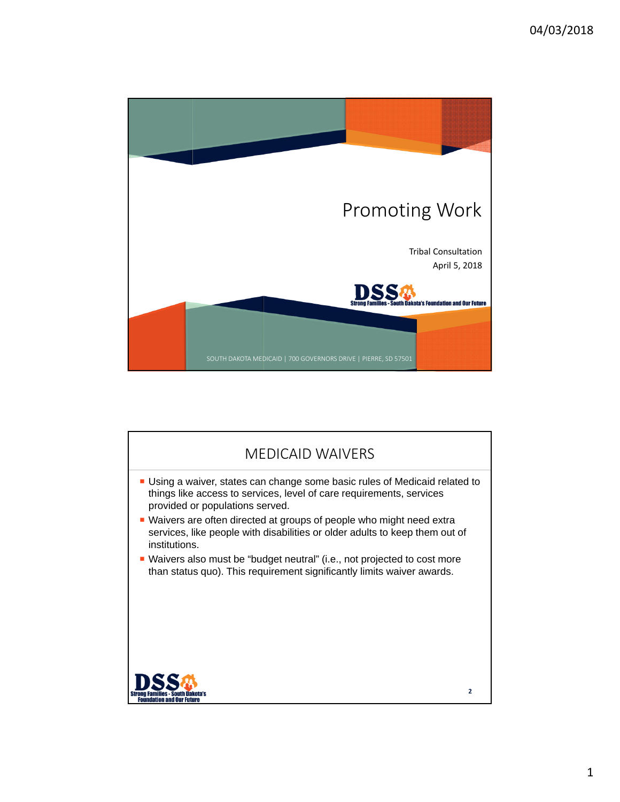

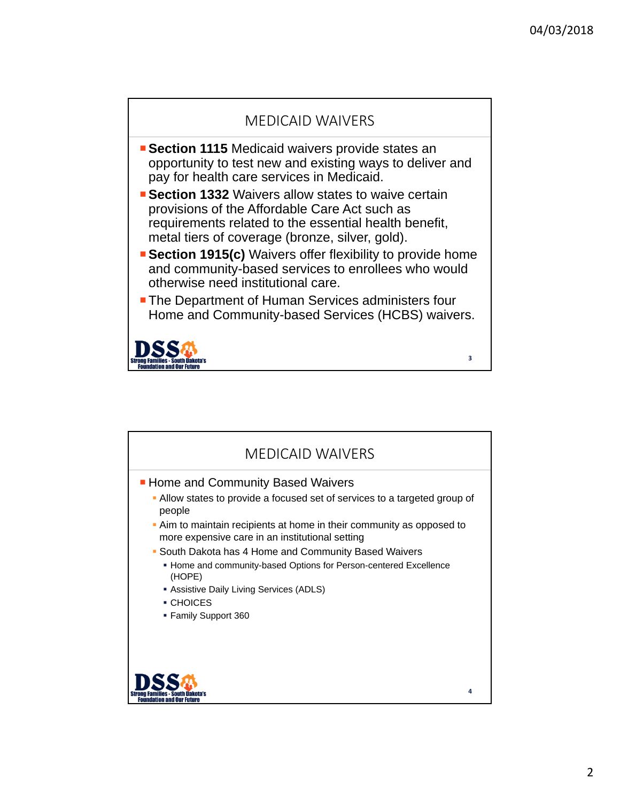**3**

## MEDICAID WAIVERS

- **Section 1115** Medicaid waivers provide states an opportunity to test new and existing ways to deliver and pay for health care services in Medicaid.
- **Section 1332** Waivers allow states to waive certain provisions of the Affordable Care Act such as requirements related to the essential health benefit, metal tiers of coverage (bronze, silver, gold).
- **Section 1915(c)** Waivers offer flexibility to provide home and community-based services to enrollees who would otherwise need institutional care.
- **The Department of Human Services administers four** Home and Community-based Services (HCBS) waivers.



| <b>MEDICAID WAIVERS</b>                                                                                                  |  |
|--------------------------------------------------------------------------------------------------------------------------|--|
| <b>Home and Community Based Waivers</b>                                                                                  |  |
| • Allow states to provide a focused set of services to a targeted group of<br>people                                     |  |
| • Aim to maintain recipients at home in their community as opposed to<br>more expensive care in an institutional setting |  |
| • South Dakota has 4 Home and Community Based Waivers                                                                    |  |
| • Home and community-based Options for Person-centered Excellence<br>(HOPE)                                              |  |
| Assistive Daily Living Services (ADLS)                                                                                   |  |
| • CHOICES                                                                                                                |  |
| ■ Family Support 360                                                                                                     |  |
|                                                                                                                          |  |
| 4                                                                                                                        |  |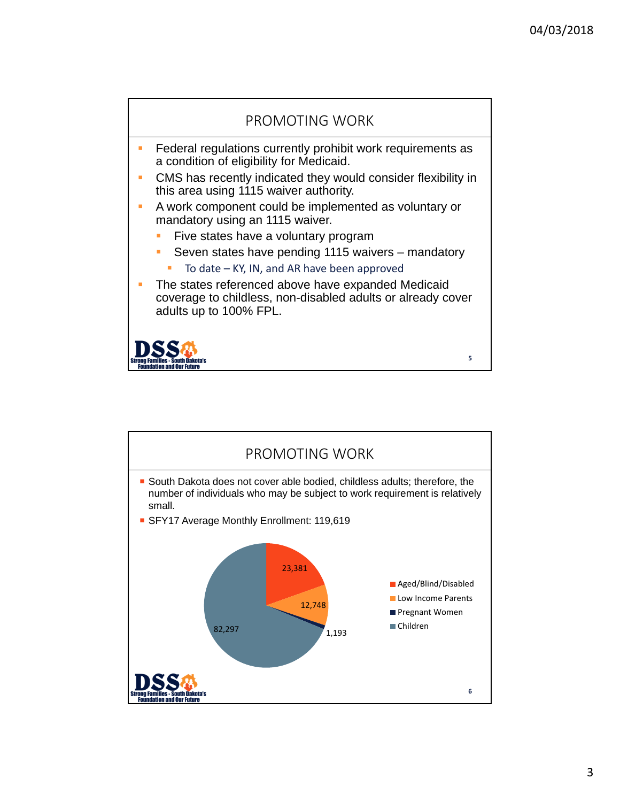

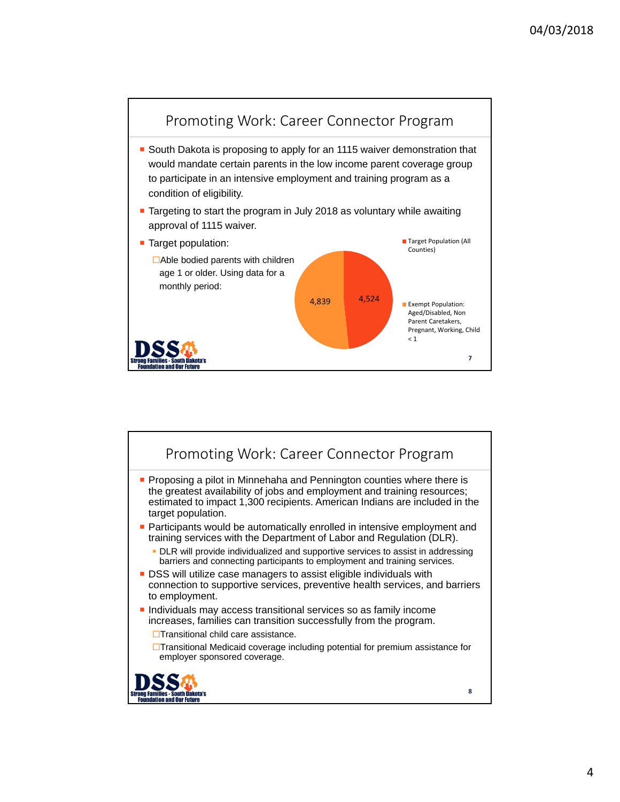